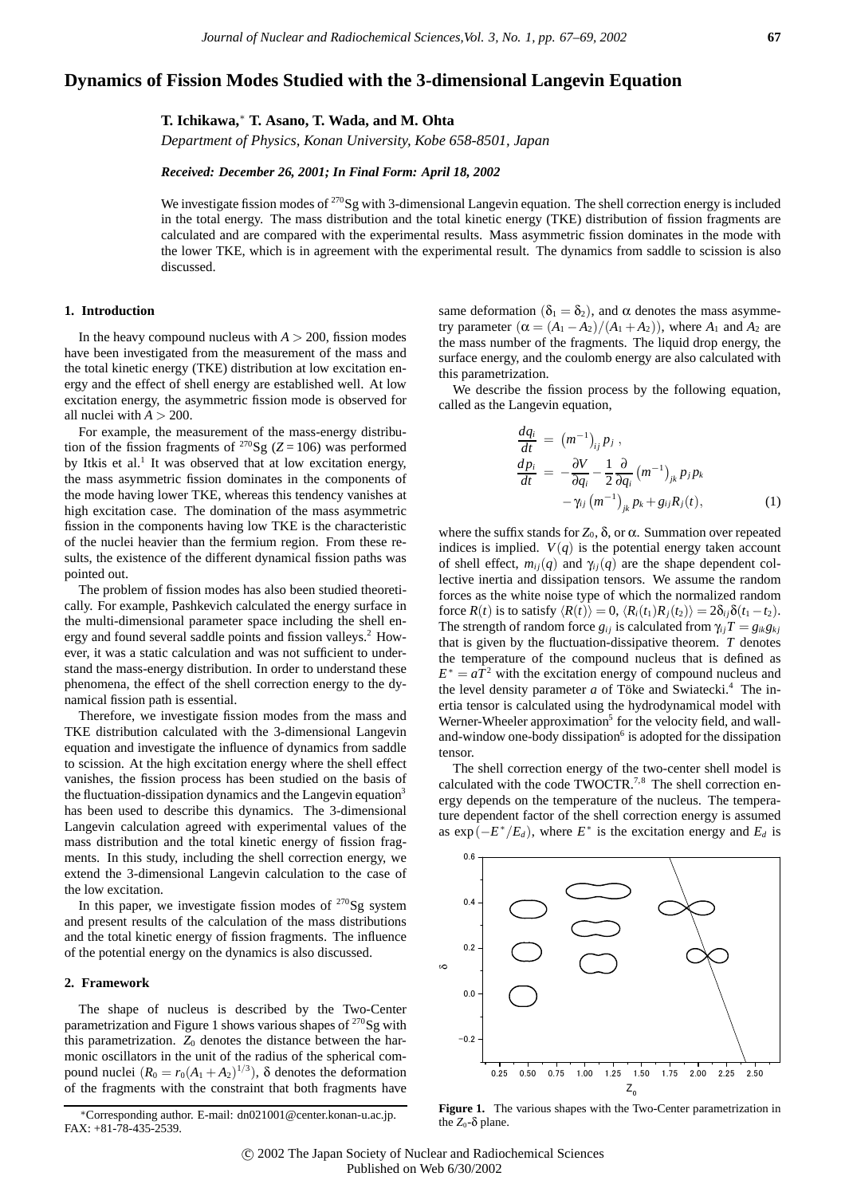# **Dynamics of Fission Modes Studied with the 3-dimensional Langevin Equation**

## **T. Ichikawa,**<sup>∗</sup> **T. Asano, T. Wada, and M. Ohta**

*Department of Physics, Konan University, Kobe 658-8501, Japan*

#### *Received: December 26, 2001; In Final Form: April 18, 2002*

We investigate fission modes of <sup>270</sup>Sg with 3-dimensional Langevin equation. The shell correction energy is included in the total energy. The mass distribution and the total kinetic energy (TKE) distribution of fission fragments are calculated and are compared with the experimental results. Mass asymmetric fission dominates in the mode with the lower TKE, which is in agreement with the experimental result. The dynamics from saddle to scission is also discussed.

### **1. Introduction**

In the heavy compound nucleus with  $A > 200$ , fission modes have been investigated from the measurement of the mass and the total kinetic energy (TKE) distribution at low excitation energy and the effect of shell energy are established well. At low excitation energy, the asymmetric fission mode is observed for all nuclei with  $A > 200$ .

For example, the measurement of the mass-energy distribution of the fission fragments of <sup>270</sup>Sg ( $Z = 106$ ) was performed by Itkis et al.<sup>1</sup> It was observed that at low excitation energy, the mass asymmetric fission dominates in the components of the mode having lower TKE, whereas this tendency vanishes at high excitation case. The domination of the mass asymmetric fission in the components having low TKE is the characteristic of the nuclei heavier than the fermium region. From these results, the existence of the different dynamical fission paths was pointed out.

The problem of fission modes has also been studied theoretically. For example, Pashkevich calculated the energy surface in the multi-dimensional parameter space including the shell energy and found several saddle points and fission valleys.2 However, it was a static calculation and was not sufficient to understand the mass-energy distribution. In order to understand these phenomena, the effect of the shell correction energy to the dynamical fission path is essential.

Therefore, we investigate fission modes from the mass and TKE distribution calculated with the 3-dimensional Langevin equation and investigate the influence of dynamics from saddle to scission. At the high excitation energy where the shell effect vanishes, the fission process has been studied on the basis of the fluctuation-dissipation dynamics and the Langevin equation<sup>3</sup> has been used to describe this dynamics. The 3-dimensional Langevin calculation agreed with experimental values of the mass distribution and the total kinetic energy of fission fragments. In this study, including the shell correction energy, we extend the 3-dimensional Langevin calculation to the case of the low excitation.

In this paper, we investigate fission modes of  $270$  Sg system and present results of the calculation of the mass distributions and the total kinetic energy of fission fragments. The influence of the potential energy on the dynamics is also discussed.

#### **2. Framework**

The shape of nucleus is described by the Two-Center parametrization and Figure 1 shows various shapes of  $270$ Sg with this parametrization. *Z*<sup>0</sup> denotes the distance between the harmonic oscillators in the unit of the radius of the spherical compound nuclei  $(R_0 = r_0(A_1 + A_2)^{1/3})$ ,  $\delta$  denotes the deformation of the fragments with the constraint that both fragments have same deformation ( $\delta_1 = \delta_2$ ), and  $\alpha$  denotes the mass asymmetry parameter  $(\alpha = (A_1 - A_2)/(A_1 + A_2))$ , where  $A_1$  and  $A_2$  are the mass number of the fragments. The liquid drop energy, the surface energy, and the coulomb energy are also calculated with this parametrization.

We describe the fission process by the following equation, called as the Langevin equation,

$$
\begin{aligned}\n\frac{dq_i}{dt} &= (m^{-1})_{ij} p_j, \\
\frac{dp_i}{dt} &= -\frac{\partial V}{\partial q_i} - \frac{1}{2} \frac{\partial}{\partial q_i} (m^{-1})_{jk} p_j p_k \\
&- \gamma_{ij} (m^{-1})_{jk} p_k + g_{ij} R_j(t),\n\end{aligned} \tag{1}
$$

where the suffix stands for  $Z_0$ ,  $\delta$ , or  $\alpha$ . Summation over repeated indices is implied.  $V(q)$  is the potential energy taken account of shell effect,  $m_{ij}(q)$  and  $\gamma_{ij}(q)$  are the shape dependent collective inertia and dissipation tensors. We assume the random forces as the white noise type of which the normalized random force  $R(t)$  is to satisfy  $\langle R(t) \rangle = 0$ ,  $\langle R_i(t_1)R_j(t_2) \rangle = 2\delta_{ij}\delta(t_1 - t_2)$ . The strength of random force  $g_{ij}$  is calculated from  $\gamma_{ij}T = g_{ik}g_{kj}$ that is given by the fluctuation-dissipative theorem. *T* denotes the temperature of the compound nucleus that is defined as  $E^* = aT^2$  with the excitation energy of compound nucleus and the level density parameter  $a$  of Töke and Swiatecki.<sup>4</sup> The inertia tensor is calculated using the hydrodynamical model with Werner-Wheeler approximation<sup>5</sup> for the velocity field, and walland-window one-body dissipation<sup>6</sup> is adopted for the dissipation tensor.

The shell correction energy of the two-center shell model is calculated with the code TWOCTR.<sup>7,8</sup> The shell correction energy depends on the temperature of the nucleus. The temperature dependent factor of the shell correction energy is assumed as  $\exp(-E^*/E_d)$ , where  $E^*$  is the excitation energy and  $E_d$  is



 **Figure 1.** The various shapes with the Two-Center parametrization in the  $Z_0$ - $\delta$  plane.

<sup>∗</sup>Corresponding author. E-mail: dn021001@center.konan-u.ac.jp. FAX: +81-78-435-2539.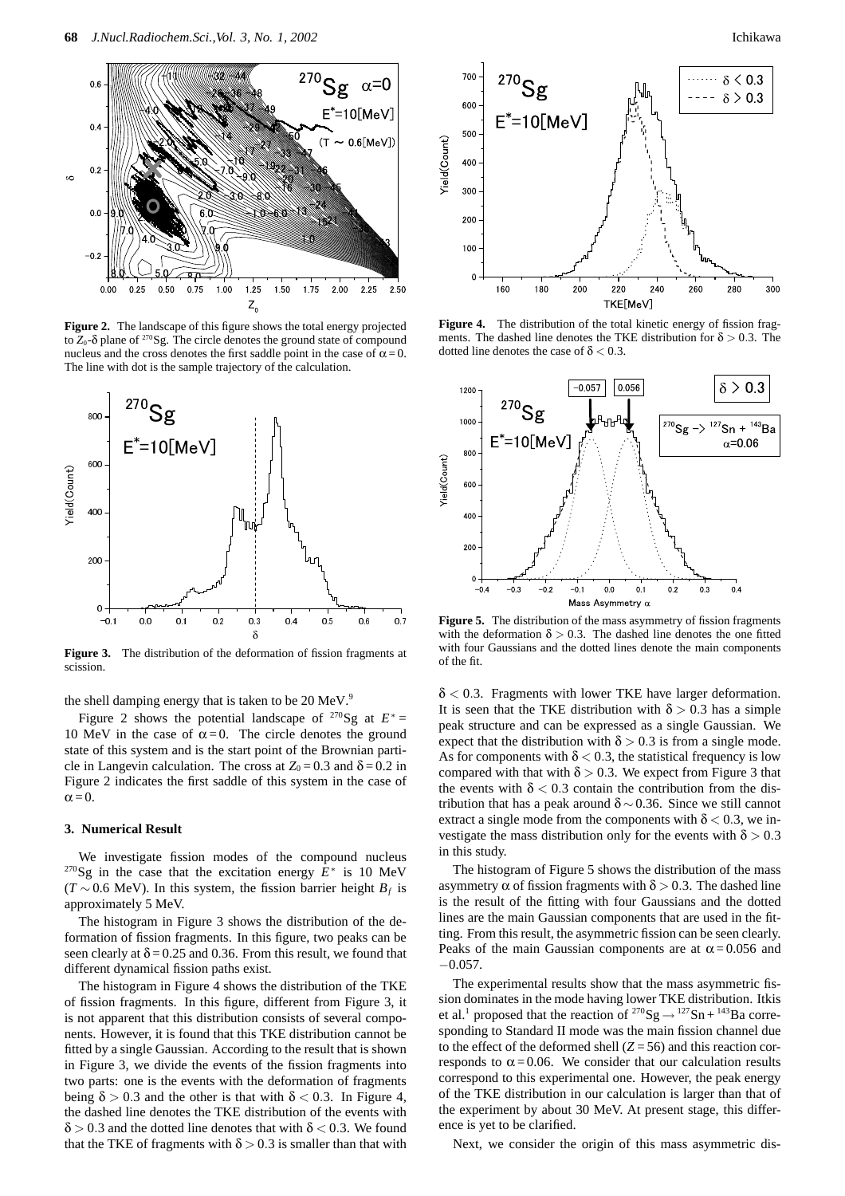

**Figure 2.** The landscape of this figure shows the total energy projected to  $Z_0$ -δ plane of <sup>270</sup>Sg. The circle denotes the ground state of compound nucleus and the cross denotes the first saddle point in the case of  $\alpha = 0$ . The line with dot is the sample trajectory of the calculation.



**Figure 3.** The distribution of the deformation of fission fragments at scission.

the shell damping energy that is taken to be  $20 \text{ MeV}^9$ .

Figure 2 shows the potential landscape of <sup>270</sup>Sg at  $E^*$  = 10 MeV in the case of  $\alpha = 0$ . The circle denotes the ground state of this system and is the start point of the Brownian particle in Langevin calculation. The cross at  $Z_0 = 0.3$  and  $\delta = 0.2$  in Figure 2 indicates the first saddle of this system in the case of  $\alpha = 0$ .

### **3. Numerical Result**

We investigate fission modes of the compound nucleus 270Sg in the case that the excitation energy *E*<sup>∗</sup> is 10 MeV  $(T \sim 0.6 \text{ MeV})$ . In this system, the fission barrier height  $B_f$  is approximately 5 MeV.

The histogram in Figure 3 shows the distribution of the deformation of fission fragments. In this figure, two peaks can be seen clearly at  $\delta$  = 0.25 and 0.36. From this result, we found that different dynamical fission paths exist.

The histogram in Figure 4 shows the distribution of the TKE of fission fragments. In this figure, different from Figure 3, it is not apparent that this distribution consists of several components. However, it is found that this TKE distribution cannot be fitted by a single Gaussian. According to the result that is shown in Figure 3, we divide the events of the fission fragments into two parts: one is the events with the deformation of fragments being  $\delta$  > 0.3 and the other is that with  $\delta$  < 0.3. In Figure 4, the dashed line denotes the TKE distribution of the events with  $\delta$  > 0.3 and the dotted line denotes that with  $\delta$  < 0.3. We found that the TKE of fragments with  $\delta > 0.3$  is smaller than that with



Figure 4. The distribution of the total kinetic energy of fission fragments. The dashed line denotes the TKE distribution for  $\delta > 0.3$ . The dotted line denotes the case of δ *<* 0*.*3.



Figure 5. The distribution of the mass asymmetry of fission fragments with the deformation  $\delta > 0.3$ . The dashed line denotes the one fitted with four Gaussians and the dotted lines denote the main components of the fit.

δ *<* 0*.*3. Fragments with lower TKE have larger deformation. It is seen that the TKE distribution with  $\delta > 0.3$  has a simple peak structure and can be expressed as a single Gaussian. We expect that the distribution with  $\delta > 0.3$  is from a single mode. As for components with  $\delta$  < 0.3, the statistical frequency is low compared with that with  $\delta > 0.3$ . We expect from Figure 3 that the events with  $\delta$  < 0.3 contain the contribution from the distribution that has a peak around  $\delta \sim 0.36$ . Since we still cannot extract a single mode from the components with  $\delta$  < 0.3, we investigate the mass distribution only for the events with  $\delta$  > 0.3 in this study.

The histogram of Figure 5 shows the distribution of the mass asymmetry  $\alpha$  of fission fragments with  $\delta > 0.3$ . The dashed line is the result of the fitting with four Gaussians and the dotted lines are the main Gaussian components that are used in the fitting. From this result, the asymmetric fission can be seen clearly. Peaks of the main Gaussian components are at  $\alpha$  = 0.056 and  $-0.057$ .

The experimental results show that the mass asymmetric fission dominates in the mode having lower TKE distribution. Itkis et al.<sup>1</sup> proposed that the reaction of <sup>270</sup>Sg  $\rightarrow$  <sup>127</sup>Sn + <sup>143</sup>Ba corresponding to Standard II mode was the main fission channel due to the effect of the deformed shell  $(Z = 56)$  and this reaction corresponds to  $\alpha = 0.06$ . We consider that our calculation results correspond to this experimental one. However, the peak energy of the TKE distribution in our calculation is larger than that of the experiment by about 30 MeV. At present stage, this difference is yet to be clarified.

Next, we consider the origin of this mass asymmetric dis-